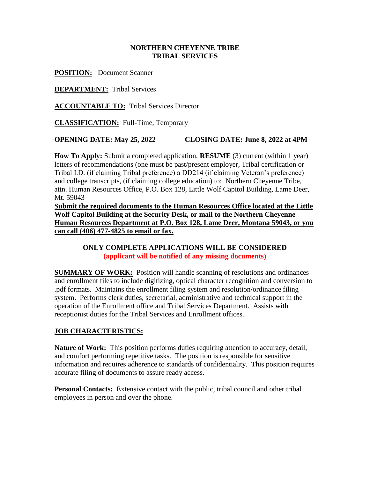### **NORTHERN CHEYENNE TRIBE TRIBAL SERVICES**

**POSITION:** Document Scanner

**DEPARTMENT:** Tribal Services

**ACCOUNTABLE TO:** Tribal Services Director

**CLASSIFICATION:** Full-Time, Temporary

### **OPENING DATE: May 25, 2022 CLOSING DATE: June 8, 2022 at 4PM**

**How To Apply:** Submit a completed application, **RESUME** (3) current (within 1 year) letters of recommendations (one must be past/present employer, Tribal certification or Tribal I.D. (if claiming Tribal preference) a DD214 (if claiming Veteran's preference) and college transcripts, (if claiming college education) to: Northern Cheyenne Tribe, attn. Human Resources Office, P.O. Box 128, Little Wolf Capitol Building, Lame Deer, Mt. 59043

**Submit the required documents to the Human Resources Office located at the Little Wolf Capitol Building at the Security Desk, or mail to the Northern Cheyenne Human Resources Department at P.O. Box 128, Lame Deer, Montana 59043, or you can call (406) 477-4825 to email or fax.**

### **ONLY COMPLETE APPLICATIONS WILL BE CONSIDERED (applicant will be notified of any missing documents)**

**SUMMARY OF WORK:** Position will handle scanning of resolutions and ordinances and enrollment files to include digitizing, optical character recognition and conversion to .pdf formats. Maintains the enrollment filing system and resolution/ordinance filing system. Performs clerk duties, secretarial, administrative and technical support in the operation of the Enrollment office and Tribal Services Department. Assists with receptionist duties for the Tribal Services and Enrollment offices.

## **JOB CHARACTERISTICS:**

**Nature of Work:** This position performs duties requiring attention to accuracy, detail, and comfort performing repetitive tasks. The position is responsible for sensitive information and requires adherence to standards of confidentiality. This position requires accurate filing of documents to assure ready access.

**Personal Contacts:** Extensive contact with the public, tribal council and other tribal employees in person and over the phone.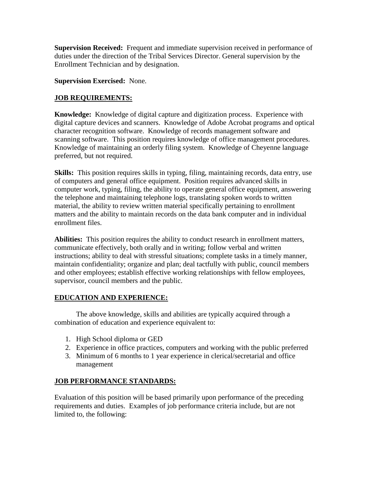**Supervision Received:** Frequent and immediate supervision received in performance of duties under the direction of the Tribal Services Director. General supervision by the Enrollment Technician and by designation.

**Supervision Exercised:** None.

## **JOB REQUIREMENTS:**

**Knowledge:** Knowledge of digital capture and digitization process. Experience with digital capture devices and scanners. Knowledge of Adobe Acrobat programs and optical character recognition software. Knowledge of records management software and scanning software. This position requires knowledge of office management procedures. Knowledge of maintaining an orderly filing system. Knowledge of Cheyenne language preferred, but not required.

**Skills:** This position requires skills in typing, filing, maintaining records, data entry, use of computers and general office equipment. Position requires advanced skills in computer work, typing, filing, the ability to operate general office equipment, answering the telephone and maintaining telephone logs, translating spoken words to written material, the ability to review written material specifically pertaining to enrollment matters and the ability to maintain records on the data bank computer and in individual enrollment files.

**Abilities:** This position requires the ability to conduct research in enrollment matters, communicate effectively, both orally and in writing; follow verbal and written instructions; ability to deal with stressful situations; complete tasks in a timely manner, maintain confidentiality; organize and plan; deal tactfully with public, council members and other employees; establish effective working relationships with fellow employees, supervisor, council members and the public.

# **EDUCATION AND EXPERIENCE:**

The above knowledge, skills and abilities are typically acquired through a combination of education and experience equivalent to:

- 1. High School diploma or GED
- 2. Experience in office practices, computers and working with the public preferred
- 3. Minimum of 6 months to 1 year experience in clerical/secretarial and office management

## **JOB PERFORMANCE STANDARDS:**

Evaluation of this position will be based primarily upon performance of the preceding requirements and duties. Examples of job performance criteria include, but are not limited to, the following: